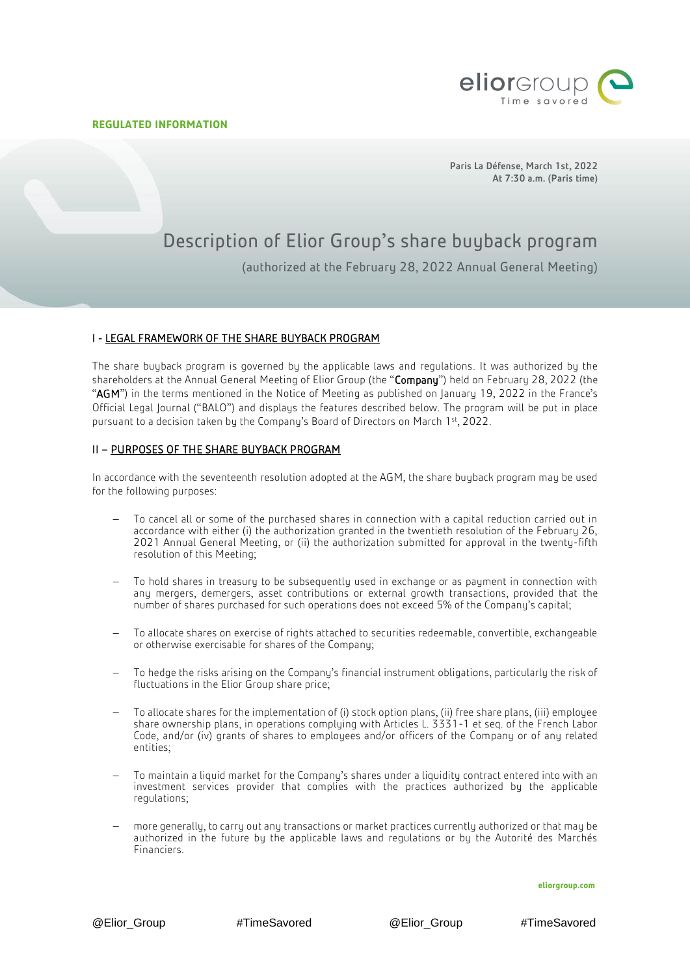j



Paris La Défense, March 1st, 2022 At 7:30 a.m. (Paris time)

# Description of Elior Group's share buyback program

(authorized at the February 28, 2022 Annual General Meeting)

## I - LEGAL FRAMEWORK OF THE SHARE BUYBACK PROGRAM

The share buyback program is governed by the applicable laws and regulations. It was authorized by the shareholders at the Annual General Meeting of Elior Group (the "Company") held on February 28, 2022 (the "AGM") in the terms mentioned in the Notice of Meeting as published on January 19, 2022 in the France's Official Legal Journal ("BALO") and displays the features described below. The program will be put in place pursuant to a decision taken by the Company's Board of Directors on March 1st, 2022.

## II – PURPOSES OF THE SHARE BUYBACK PROGRAM

In accordance with the seventeenth resolution adopted at the AGM, the share buyback program may be used for the following purposes:

- To cancel all or some of the purchased shares in connection with a capital reduction carried out in accordance with either (i) the authorization granted in the twentieth resolution of the February 26, 2021 Annual General Meeting, or (ii) the authorization submitted for approval in the twenty-fifth resolution of this Meeting;
- To hold shares in treasury to be subsequently used in exchange or as payment in connection with any mergers, demergers, asset contributions or external growth transactions, provided that the number of shares purchased for such operations does not exceed 5% of the Company's capital;
- To allocate shares on exercise of rights attached to securities redeemable, convertible, exchangeable or otherwise exercisable for shares of the Company;
- To hedge the risks arising on the Company's financial instrument obligations, particularly the risk of fluctuations in the Elior Group share price;
- To allocate shares for the implementation of (i) stock option plans, (ii) free share plans, (iii) employee share ownership plans, in operations complying with Articles L. 3331-1 et seq. of the French Labor Code, and/or (iv) grants of shares to employees and/or officers of the Company or of any related entities;
- To maintain a liquid market for the Company's shares under a liquidity contract entered into with an investment services provider that complies with the practices authorized by the applicable regulations;
- more generally, to carry out any transactions or market practices currently authorized or that may be authorized in the future by the applicable laws and regulations or by the Autorité des Marchés Financiers.

**eliorgroup.com**

@Elior\_Group #TimeSavored @Elior\_Group #TimeSavored